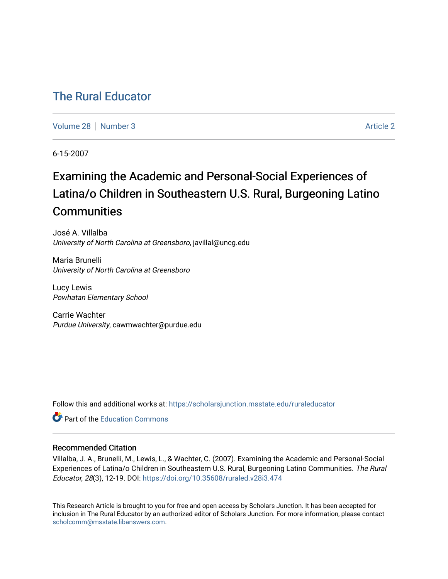## [The Rural Educator](https://scholarsjunction.msstate.edu/ruraleducator)

[Volume 28](https://scholarsjunction.msstate.edu/ruraleducator/vol28) [Number 3](https://scholarsjunction.msstate.edu/ruraleducator/vol28/iss3) [Article 2](https://scholarsjunction.msstate.edu/ruraleducator/vol28/iss3/2) Article 2

6-15-2007

# Examining the Academic and Personal-Social Experiences of Latina/o Children in Southeastern U.S. Rural, Burgeoning Latino **Communities**

José A. Villalba University of North Carolina at Greensboro, javillal@uncg.edu

Maria Brunelli University of North Carolina at Greensboro

Lucy Lewis Powhatan Elementary School

Carrie Wachter Purdue University, cawmwachter@purdue.edu

Follow this and additional works at: [https://scholarsjunction.msstate.edu/ruraleducator](https://scholarsjunction.msstate.edu/ruraleducator?utm_source=scholarsjunction.msstate.edu%2Fruraleducator%2Fvol28%2Fiss3%2F2&utm_medium=PDF&utm_campaign=PDFCoverPages)

**C** Part of the [Education Commons](http://network.bepress.com/hgg/discipline/784?utm_source=scholarsjunction.msstate.edu%2Fruraleducator%2Fvol28%2Fiss3%2F2&utm_medium=PDF&utm_campaign=PDFCoverPages)

#### Recommended Citation

Villalba, J. A., Brunelli, M., Lewis, L., & Wachter, C. (2007). Examining the Academic and Personal-Social Experiences of Latina/o Children in Southeastern U.S. Rural, Burgeoning Latino Communities. The Rural Educator, 28(3), 12-19. DOI: <https://doi.org/10.35608/ruraled.v28i3.474>

This Research Article is brought to you for free and open access by Scholars Junction. It has been accepted for inclusion in The Rural Educator by an authorized editor of Scholars Junction. For more information, please contact [scholcomm@msstate.libanswers.com.](mailto:scholcomm@msstate.libanswers.com)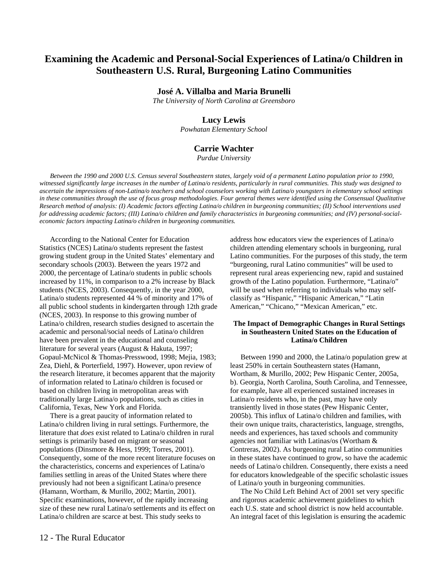### **Examining the Academic and Personal-Social Experiences of Latina/o Children in Southeastern U.S. Rural, Burgeoning Latino Communities**

#### **José A. Villalba and Maria Brunelli**

*The University of North Carolina at Greensboro*

#### **Lucy Lewis**

*Powhatan Elementary School* 

#### **Carrie Wachter**

*Purdue University* 

*Between the 1990 and 2000 U.S. Census several Southeastern states, largely void of a permanent Latino population prior to 1990, witnessed significantly large increases in the number of Latina/o residents, particularly in rural communities. This study was designed to ascertain the impressions of non-Latina/o teachers and school counselors working with Latina/o youngsters in elementary school settings in these communities through the use of focus group methodologies. Four general themes were identified using the Consensual Qualitative Research method of analysis: (I) Academic factors affecting Latina/o children in burgeoning communities; (II) School interventions used for addressing academic factors; (III) Latina/o children and family characteristics in burgeoning communities; and (IV) personal-socialeconomic factors impacting Latina/o children in burgeoning communities.* 

According to the National Center for Education Statistics (NCES) Latina/o students represent the fastest growing student group in the United States' elementary and secondary schools (2003). Between the years 1972 and 2000, the percentage of Latina/o students in public schools increased by 11%, in comparison to a 2% increase by Black students (NCES, 2003). Consequently, in the year 2000, Latina/o students represented 44 % of minority and 17% of all public school students in kindergarten through 12th grade (NCES, 2003). In response to this growing number of Latina/o children, research studies designed to ascertain the academic and personal/social needs of Latina/o children have been prevalent in the educational and counseling literature for several years (August & Hakuta, 1997; Gopaul-McNicol & Thomas-Presswood, 1998; Mejia, 1983; Zea, Diehl, & Porterfield, 1997). However, upon review of the research literature, it becomes apparent that the majority of information related to Latina/o children is focused or based on children living in metropolitan areas with traditionally large Latina/o populations, such as cities in California, Texas, New York and Florida.

There is a great paucity of information related to Latina/o children living in rural settings. Furthermore, the literature that *does* exist related to Latina/o children in rural settings is primarily based on migrant or seasonal populations (Dinsmore & Hess, 1999; Torres, 2001). Consequently, some of the more recent literature focuses on the characteristics, concerns and experiences of Latina/o families settling in areas of the United States where there previously had not been a significant Latina/o presence (Hamann, Wortham, & Murillo, 2002; Martin, 2001). Specific examinations, however, of the rapidly increasing size of these new rural Latina/o settlements and its effect on Latina/o children are scarce at best. This study seeks to

address how educators view the experiences of Latina/o children attending elementary schools in burgeoning, rural Latino communities. For the purposes of this study, the term "burgeoning, rural Latino communities" will be used to represent rural areas experiencing new, rapid and sustained growth of the Latino population. Furthermore, "Latina/o" will be used when referring to individuals who may selfclassify as "Hispanic," "Hispanic American," "Latin American," "Chicano," "Mexican American," etc.

#### **The Impact of Demographic Changes in Rural Settings in Southeastern United States on the Education of Latina/o Children**

Between 1990 and 2000, the Latina/o population grew at least 250% in certain Southeastern states (Hamann, Wortham, & Murillo, 2002; Pew Hispanic Center, 2005a, b). Georgia, North Carolina, South Carolina, and Tennessee, for example, have all experienced sustained increases in Latina/o residents who, in the past, may have only transiently lived in those states (Pew Hispanic Center, 2005b). This influx of Latina/o children and families, with their own unique traits, characteristics, language, strengths, needs and experiences, has taxed schools and community agencies not familiar with Latinas/os (Wortham & Contreras, 2002). As burgeoning rural Latino communities in these states have continued to grow, so have the academic needs of Latina/o children. Consequently, there exists a need for educators knowledgeable of the specific scholastic issues of Latina/o youth in burgeoning communities.

The No Child Left Behind Act of 2001 set very specific and rigorous academic achievement guidelines to which each U.S. state and school district is now held accountable. An integral facet of this legislation is ensuring the academic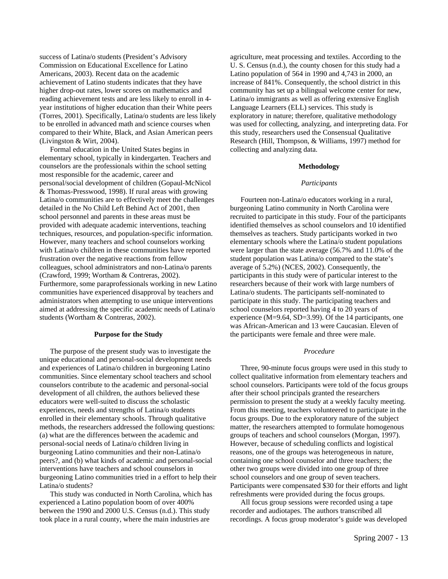success of Latina/o students (President's Advisory Commission on Educational Excellence for Latino Americans, 2003). Recent data on the academic achievement of Latino students indicates that they have higher drop-out rates, lower scores on mathematics and reading achievement tests and are less likely to enroll in 4 year institutions of higher education than their White peers (Torres, 2001). Specifically, Latina/o students are less likely to be enrolled in advanced math and science courses when compared to their White, Black, and Asian American peers (Livingston & Wirt, 2004).

Formal education in the United States begins in elementary school, typically in kindergarten. Teachers and counselors are the professionals within the school setting most responsible for the academic, career and personal/social development of children (Gopaul-McNicol & Thomas-Presswood, 1998). If rural areas with growing Latina/o communities are to effectively meet the challenges detailed in the No Child Left Behind Act of 2001, then school personnel and parents in these areas must be provided with adequate academic interventions, teaching techniques, resources, and population-specific information. However, many teachers and school counselors working with Latina/o children in these communities have reported frustration over the negative reactions from fellow colleagues, school administrators and non-Latina/o parents (Crawford, 1999; Wortham & Contreras, 2002). Furthermore, some paraprofessionals working in new Latino communities have experienced disapproval by teachers and administrators when attempting to use unique interventions aimed at addressing the specific academic needs of Latina/o students (Wortham & Contreras, 2002).

#### **Purpose for the Study**

The purpose of the present study was to investigate the unique educational and personal-social development needs and experiences of Latina/o children in burgeoning Latino communities. Since elementary school teachers and school counselors contribute to the academic and personal-social development of all children, the authors believed these educators were well-suited to discuss the scholastic experiences, needs and strengths of Latina/o students enrolled in their elementary schools. Through qualitative methods, the researchers addressed the following questions: (a) what are the differences between the academic and personal-social needs of Latina/o children living in burgeoning Latino communities and their non-Latina/o peers?, and (b) what kinds of academic and personal-social interventions have teachers and school counselors in burgeoning Latino communities tried in a effort to help their Latina/o students?

This study was conducted in North Carolina, which has experienced a Latino population boom of over 400% between the 1990 and 2000 U.S. Census (n.d.). This study took place in a rural county, where the main industries are

agriculture, meat processing and textiles. According to the U. S. Census (n.d.), the county chosen for this study had a Latino population of 564 in 1990 and 4,743 in 2000, an increase of 841%. Consequently, the school district in this community has set up a bilingual welcome center for new, Latina/o immigrants as well as offering extensive English Language Learners (ELL) services. This study is exploratory in nature; therefore, qualitative methodology was used for collecting, analyzing, and interpreting data. For this study, researchers used the Consensual Qualitative Research (Hill, Thompson, & Williams, 1997) method for collecting and analyzing data.

#### **Methodology**

#### *Participants*

Fourteen non-Latina/o educators working in a rural, burgeoning Latino community in North Carolina were recruited to participate in this study. Four of the participants identified themselves as school counselors and 10 identified themselves as teachers. Study participants worked in two elementary schools where the Latina/o student populations were larger than the state average (56.7% and 11.0% of the student population was Latina/o compared to the state's average of 5.2%) (NCES, 2002). Consequently, the participants in this study were of particular interest to the researchers because of their work with large numbers of Latina/o students. The participants self-nominated to participate in this study. The participating teachers and school counselors reported having 4 to 20 years of experience (M=9.64, SD=3.99). Of the 14 participants, one was African-American and 13 were Caucasian. Eleven of the participants were female and three were male.

#### *Procedure*

Three, 90-minute focus groups were used in this study to collect qualitative information from elementary teachers and school counselors. Participants were told of the focus groups after their school principals granted the researchers permission to present the study at a weekly faculty meeting. From this meeting, teachers volunteered to participate in the focus groups. Due to the exploratory nature of the subject matter, the researchers attempted to formulate homogenous groups of teachers and school counselors (Morgan, 1997). However, because of scheduling conflicts and logistical reasons, one of the groups was heterogeneous in nature, containing one school counselor and three teachers; the other two groups were divided into one group of three school counselors and one group of seven teachers. Participants were compensated \$30 for their efforts and light refreshments were provided during the focus groups.

All focus group sessions were recorded using a tape recorder and audiotapes. The authors transcribed all recordings. A focus group moderator's guide was developed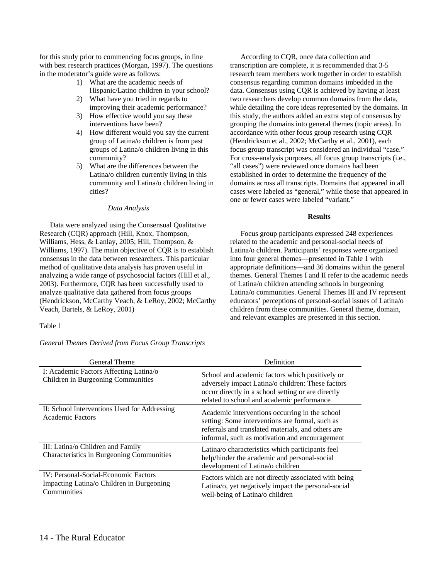for this study prior to commencing focus groups, in line with best research practices (Morgan, 1997). The questions in the moderator's guide were as follows:

- 1) What are the academic needs of Hispanic/Latino children in your school?
- 2) What have you tried in regards to improving their academic performance?
- 3) How effective would you say these interventions have been?
- 4) How different would you say the current group of Latina/o children is from past groups of Latina/o children living in this community?
- 5) What are the differences between the Latina/o children currently living in this community and Latina/o children living in cities?

#### *Data Analysis*

Data were analyzed using the Consensual Qualitative Research (CQR) approach (Hill, Knox, Thompson, Williams, Hess, & Lanlay, 2005; Hill, Thompson, & Williams, 1997). The main objective of CQR is to establish consensus in the data between researchers. This particular method of qualitative data analysis has proven useful in analyzing a wide range of psychosocial factors (Hill et al., 2003). Furthermore, CQR has been successfully used to analyze qualitative data gathered from focus groups (Hendrickson, McCarthy Veach, & LeRoy, 2002; McCarthy Veach, Bartels, & LeRoy, 2001)

#### Table 1

#### *General Themes Derived from Focus Group Transcripts*

According to CQR, once data collection and transcription are complete, it is recommended that 3-5 research team members work together in order to establish consensus regarding common domains imbedded in the data. Consensus using CQR is achieved by having at least two researchers develop common domains from the data, while detailing the core ideas represented by the domains. In this study, the authors added an extra step of consensus by grouping the domains into general themes (topic areas). In accordance with other focus group research using CQR (Hendrickson et al., 2002; McCarthy et al., 2001), each focus group transcript was considered an individual "case." For cross-analysis purposes, all focus group transcripts (i.e., "all cases") were reviewed once domains had been established in order to determine the frequency of the domains across all transcripts. Domains that appeared in all cases were labeled as "general," while those that appeared in one or fewer cases were labeled "variant."

#### **Results**

Focus group participants expressed 248 experiences related to the academic and personal-social needs of Latina/o children. Participants' responses were organized into four general themes—presented in Table 1 with appropriate definitions—and 36 domains within the general themes. General Themes I and II refer to the academic needs of Latina/o children attending schools in burgeoning Latina/o communities. General Themes III and IV represent educators' perceptions of personal-social issues of Latina/o children from these communities. General theme, domain, and relevant examples are presented in this section.

| General Theme                                                                                           | Definition                                                                                                                                                                                                |
|---------------------------------------------------------------------------------------------------------|-----------------------------------------------------------------------------------------------------------------------------------------------------------------------------------------------------------|
| I: Academic Factors Affecting Latina/o<br>Children in Burgeoning Communities                            | School and academic factors which positively or<br>adversely impact Latina/o children: These factors<br>occur directly in a school setting or are directly<br>related to school and academic performance  |
| II: School Interventions Used for Addressing<br>Academic Factors                                        | Academic interventions occurring in the school<br>setting: Some interventions are formal, such as<br>referrals and translated materials, and others are<br>informal, such as motivation and encouragement |
| III: Latina/o Children and Family<br>Characteristics in Burgeoning Communities                          | Latina/o characteristics which participants feel<br>help/hinder the academic and personal-social<br>development of Latina/o children                                                                      |
| <b>IV: Personal-Social-Economic Factors</b><br>Impacting Latina/o Children in Burgeoning<br>Communities | Factors which are not directly associated with being<br>Latina/o, yet negatively impact the personal-social<br>well-being of Latina/o children                                                            |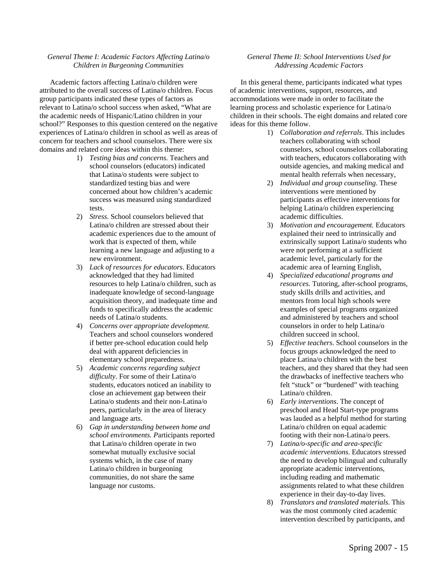#### *General Theme I: Academic Factors Affecting Latina/o Children in Burgeoning Communities*

Academic factors affecting Latina/o children were attributed to the overall success of Latina/o children. Focus group participants indicated these types of factors as relevant to Latina/o school success when asked, "What are the academic needs of Hispanic/Latino children in your school?" Responses to this question centered on the negative experiences of Latina/o children in school as well as areas of concern for teachers and school counselors. There were six domains and related core ideas within this theme:

- 1) *Testing bias and concerns*. Teachers and school counselors (educators) indicated that Latina/o students were subject to standardized testing bias and were concerned about how children's academic success was measured using standardized tests.
- 2) *Stress*. School counselors believed that Latina/o children are stressed about their academic experiences due to the amount of work that is expected of them, while learning a new language and adjusting to a new environment.
- 3) *Lack of resources for educators*. Educators acknowledged that they had limited resources to help Latina/o children, such as inadequate knowledge of second-language acquisition theory, and inadequate time and funds to specifically address the academic needs of Latina/o students.
- 4) *Concerns over appropriate development.*  Teachers and school counselors wondered if better pre-school education could help deal with apparent deficiencies in elementary school preparedness.
- 5) *Academic concerns regarding subject difficulty*. For some of their Latina/o students, educators noticed an inability to close an achievement gap between their Latina/o students and their non-Latina/o peers, particularly in the area of literacy and language arts.
- 6) *Gap in understanding between home and school environments. P*articipants reported that Latina/o children operate in two somewhat mutually exclusive social systems which, in the case of many Latina/o children in burgeoning communities, do not share the same language nor customs.

#### *General Theme II: School Interventions Used for Addressing Academic Factors*

In this general theme, participants indicated what types of academic interventions, support, resources, and accommodations were made in order to facilitate the learning process and scholastic experience for Latina/o children in their schools. The eight domains and related core ideas for this theme follow.

- 1) C*ollaboration and referrals*. This includes teachers collaborating with school counselors, school counselors collaborating with teachers, educators collaborating with outside agencies, and making medical and mental health referrals when necessary,
- 2) *Individual and group counseling*. These interventions were mentioned by participants as effective interventions for helping Latina/o children experiencing academic difficulties.
- 3) *Motivation and encouragement.* Educators explained their need to intrinsically and extrinsically support Latina/o students who were not performing at a sufficient academic level, particularly for the academic area of learning English,
- 4) *Specialized educational programs and resources*. Tutoring, after-school programs, study skills drills and activities, and mentors from local high schools were examples of special programs organized and administered by teachers and school counselors in order to help Latina/o children succeed in school.
- 5) *Effective teachers*. School counselors in the focus groups acknowledged the need to place Latina/o children with the best teachers, and they shared that they had seen the drawbacks of ineffective teachers who felt "stuck" or "burdened" with teaching Latina/o children.
- 6) *Early interventions*. The concept of preschool and Head Start-type programs was lauded as a helpful method for starting Latina/o children on equal academic footing with their non-Latina/o peers.
- 7) *Latina/o-specific and area-specific academic interventions*. Educators stressed the need to develop bilingual and culturally appropriate academic interventions, including reading and mathematic assignments related to what these children experience in their day-to-day lives.
- 8) *Translators and translated materials*. This was the most commonly cited academic intervention described by participants, and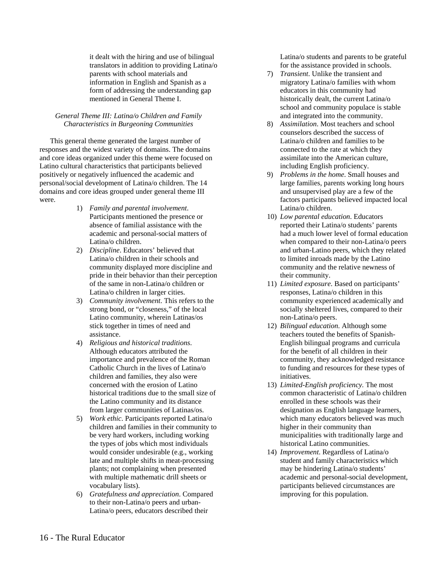it dealt with the hiring and use of bilingual translators in addition to providing Latina/o parents with school materials and information in English and Spanish as a form of addressing the understanding gap mentioned in General Theme I.

#### *General Theme III: Latina/o Children and Family Characteristics in Burgeoning Communities*

This general theme generated the largest number of responses and the widest variety of domains. The domains and core ideas organized under this theme were focused on Latino cultural characteristics that participants believed positively or negatively influenced the academic and personal/social development of Latina/o children. The 14 domains and core ideas grouped under general theme III were.

- 1) *Family and parental involvement*. Participants mentioned the presence or absence of familial assistance with the academic and personal-social matters of Latina/o children.
- 2) *Discipline*. Educators' believed that Latina/o children in their schools and community displayed more discipline and pride in their behavior than their perception of the same in non-Latina/o children or Latina/o children in larger cities.
- 3) *Community involvement*. This refers to the strong bond, or "closeness," of the local Latino community, wherein Latinas/os stick together in times of need and assistance.
- 4) *Religious and historical traditions*. Although educators attributed the importance and prevalence of the Roman Catholic Church in the lives of Latina/o children and families, they also were concerned with the erosion of Latino historical traditions due to the small size of the Latino community and its distance from larger communities of Latinas/os.
- 5) *Work ethic*. Participants reported Latina/o children and families in their community to be very hard workers, including working the types of jobs which most individuals would consider undesirable (e.g., working late and multiple shifts in meat-processing plants; not complaining when presented with multiple mathematic drill sheets or vocabulary lists).
- 6) *Gratefulness and appreciation*. Compared to their non-Latina/o peers and urban-Latina/o peers, educators described their

Latina/o students and parents to be grateful for the assistance provided in schools.

- 7) *Transient*. Unlike the transient and migratory Latina/o families with whom educators in this community had historically dealt, the current Latina/o school and community populace is stable and integrated into the community.
- 8) *Assimilation*. Most teachers and school counselors described the success of Latina/o children and families to be connected to the rate at which they assimilate into the American culture, including English proficiency.
- 9) *Problems in the home*. Small houses and large families, parents working long hours and unsupervised play are a few of the factors participants believed impacted local Latina/o children.
- 10) *Low parental education*. Educators reported their Latina/o students' parents had a much lower level of formal education when compared to their non-Latina/o peers and urban-Latino peers, which they related to limited inroads made by the Latino community and the relative newness of their community.
- 11) *Limited exposure*. Based on participants' responses, Latina/o children in this community experienced academically and socially sheltered lives, compared to their non-Latina/o peers.
- 12) *Bilingual education*. Although some teachers touted the benefits of Spanish-English bilingual programs and curricula for the benefit of all children in their community, they acknowledged resistance to funding and resources for these types of initiatives.
- 13) *Limited-English proficiency.* The most common characteristic of Latina/o children enrolled in these schools was their designation as English language learners, which many educators believed was much higher in their community than municipalities with traditionally large and historical Latino communities.
- 14) *Improvement*. Regardless of Latina/o student and family characteristics which may be hindering Latina/o students' academic and personal-social development, participants believed circumstances are improving for this population.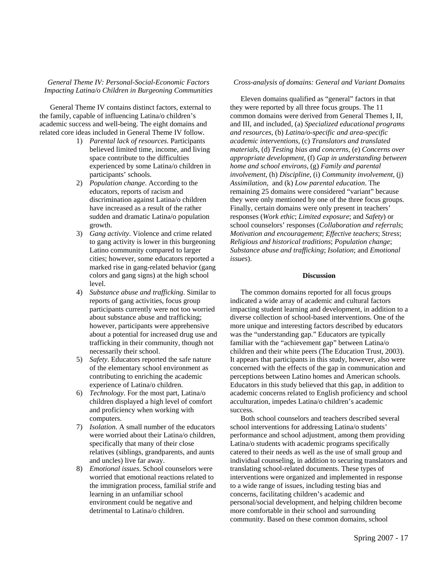#### *General Theme IV: Personal-Social-Economic Factors Impacting Latina/o Children in Burgeoning Communities*

General Theme IV contains distinct factors, external to the family, capable of influencing Latina/o children's academic success and well-being. The eight domains and related core ideas included in General Theme IV follow.

- 1) *Parental lack of resources.* Participants believed limited time, income, and living space contribute to the difficulties experienced by some Latina/o children in participants' schools.
- 2) *Population change*. According to the educators, reports of racism and discrimination against Latina/o children have increased as a result of the rather sudden and dramatic Latina/o population growth.
- 3) *Gang activity*. Violence and crime related to gang activity is lower in this burgeoning Latino community compared to larger cities; however, some educators reported a marked rise in gang-related behavior (gang colors and gang signs) at the high school level.
- 4) *Substance abuse and trafficking*. Similar to reports of gang activities, focus group participants currently were not too worried about substance abuse and trafficking; however, participants were apprehensive about a potential for increased drug use and trafficking in their community, though not necessarily their school.
- 5) *Safety*. Educators reported the safe nature of the elementary school environment as contributing to enriching the academic experience of Latina/o children.
- 6) *Technology*. For the most part, Latina/o children displayed a high level of comfort and proficiency when working with computers.
- 7) *Isolation*. A small number of the educators were worried about their Latina/o children, specifically that many of their close relatives (siblings, grandparents, and aunts and uncles) live far away.
- 8) *Emotional issues*. School counselors were worried that emotional reactions related to the immigration process, familial strife and learning in an unfamiliar school environment could be negative and detrimental to Latina/o children.

#### *Cross-analysis of domains: General and Variant Domains*

Eleven domains qualified as "general" factors in that they were reported by all three focus groups. The 11 common domains were derived from General Themes I, II, and III, and included, (a) *Specialized educational programs and resources*, (b) *Latina/o-specific and area-specific academic interventions*, (c) *Translators and translated materials*, (d) *Testing bias and concerns*, (e) *Concerns over appropriate development*, (f) *Gap in understanding between home and school environs*, (g) *Family and parental involvement*, (h) *Discipline*, (i) *Community involvement*, (j) *Assimilation*, and (k) *Low parental education*. The remaining 25 domains were considered "variant" because they were only mentioned by one of the three focus groups. Finally, certain domains were only present in teachers' responses (*Work ethic*; *Limited exposure*; and *Safety*) or school counselors' responses (*Collaboration and referrals*; *Motivation and encouragement*; *Effective teachers*; *Stress*; *Religious and historical traditions*; *Population change*; *Substance abuse and trafficking*; *Isolation*; and *Emotional issues*).

#### **Discussion**

The common domains reported for all focus groups indicated a wide array of academic and cultural factors impacting student learning and development, in addition to a diverse collection of school-based interventions. One of the more unique and interesting factors described by educators was the "understanding gap." Educators are typically familiar with the "achievement gap" between Latina/o children and their white peers (The Education Trust, 2003). It appears that participants in this study, however, also were concerned with the effects of the gap in communication and perceptions between Latino homes and American schools. Educators in this study believed that this gap, in addition to academic concerns related to English proficiency and school acculturation, impedes Latina/o children's academic success.

Both school counselors and teachers described several school interventions for addressing Latina/o students' performance and school adjustment, among them providing Latina/o students with academic programs specifically catered to their needs as well as the use of small group and individual counseling, in addition to securing translators and translating school-related documents. These types of interventions were organized and implemented in response to a wide range of issues, including testing bias and concerns, facilitating children's academic and personal/social development, and helping children become more comfortable in their school and surrounding community. Based on these common domains, school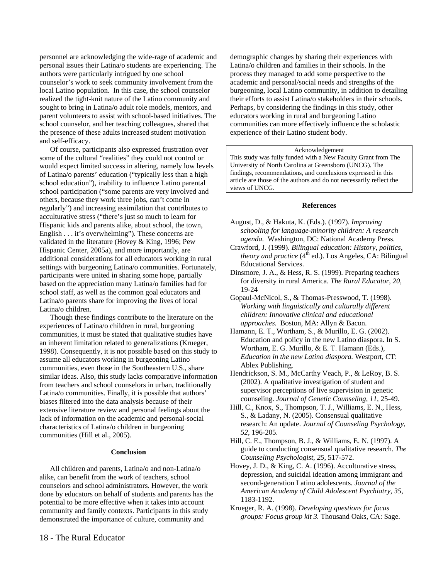personnel are acknowledging the wide-rage of academic and personal issues their Latina/o students are experiencing. The authors were particularly intrigued by one school counselor's work to seek community involvement from the local Latino population. In this case, the school counselor realized the tight-knit nature of the Latino community and sought to bring in Latina/o adult role models, mentors, and parent volunteers to assist with school-based initiatives. The school counselor, and her teaching colleagues, shared that the presence of these adults increased student motivation and self-efficacy.

Of course, participants also expressed frustration over some of the cultural "realities" they could not control or would expect limited success in altering, namely low levels of Latina/o parents' education ("typically less than a high school education"), inability to influence Latino parental school participation ("some parents are very involved and others, because they work three jobs, can't come in regularly") and increasing assimilation that contributes to acculturative stress ("there's just so much to learn for Hispanic kids and parents alike, about school, the town, English . . . it's overwhelming"). These concerns are validated in the literature (Hovey & King, 1996; Pew Hispanic Center, 2005a), and more importantly, are additional considerations for all educators working in rural settings with burgeoning Latina/o communities. Fortunately, participants were united in sharing some hope, partially based on the appreciation many Latina/o families had for school staff, as well as the common goal educators and Latina/o parents share for improving the lives of local Latina/o children.

Though these findings contribute to the literature on the experiences of Latina/o children in rural, burgeoning communities, it must be stated that qualitative studies have an inherent limitation related to generalizations (Krueger, 1998). Consequently, it is not possible based on this study to assume all educators working in burgeoning Latino communities, even those in the Southeastern U.S., share similar ideas. Also, this study lacks comparative information from teachers and school counselors in urban, traditionally Latina/o communities. Finally, it is possible that authors' biases filtered into the data analysis because of their extensive literature review and personal feelings about the lack of information on the academic and personal-social characteristics of Latina/o children in burgeoning communities (Hill et al., 2005).

#### **Conclusion**

All children and parents, Latina/o and non-Latina/o alike, can benefit from the work of teachers, school counselors and school administrators. However, the work done by educators on behalf of students and parents has the potential to be more effective when it takes into account community and family contexts. Participants in this study demonstrated the importance of culture, community and

demographic changes by sharing their experiences with Latina/o children and families in their schools. In the process they managed to add some perspective to the academic and personal/social needs and strengths of the burgeoning, local Latino community, in addition to detailing their efforts to assist Latina/o stakeholders in their schools. Perhaps, by considering the findings in this study, other educators working in rural and burgeoning Latino communities can more effectively influence the scholastic experience of their Latino student body.

#### Acknowledgement

This study was fully funded with a New Faculty Grant from The University of North Carolina at Greensboro (UNCG). The findings, recommendations, and conclusions expressed in this article are those of the authors and do not necessarily reflect the views of UNCG.

#### **References**

- August, D., & Hakuta, K. (Eds.). (1997). *Improving schooling for language-minority children: A research agenda.* Washington, DC: National Academy Press.
- Crawford, J. (1999). *Bilingual education: History, politics, theory and practice*  $(4<sup>th</sup>$  ed.). Los Angeles, CA: Bilingual Educational Services.
- Dinsmore, J. A., & Hess, R. S. (1999). Preparing teachers for diversity in rural America. *The Rural Educator, 20*, 19-24
- Gopaul-McNicol, S., & Thomas-Presswood, T. (1998). *Working with linguistically and culturally different children: Innovative clinical and educational approaches.* Boston, MA: Allyn & Bacon.
- Hamann, E. T., Wortham, S., & Murillo, E. G. (2002). Education and policy in the new Latino diaspora. In S. Wortham, E. G. Murillo, & E. T. Hamann (Eds.), *Education in the new Latino diaspora.* Westport, CT: Ablex Publishing.
- Hendrickson, S. M., McCarthy Veach, P., & LeRoy, B. S. (2002). A qualitative investigation of student and supervisor perceptions of live supervision in genetic counseling. *Journal of Genetic Counseling, 11,* 25-49.
- Hill, C., Knox, S., Thompson, T. J., Williams, E. N., Hess, S., & Ladany, N. (2005). Consensual qualitative research: An update. *Journal of Counseling Psychology, 52*, 196-205.
- Hill, C. E., Thompson, B. J., & Williams, E. N. (1997). A guide to conducting consensual qualitative research. *The Counseling Psychologist, 25,* 517-572.
- Hovey, J. D., & King, C. A. (1996). Acculturative stress, depression, and suicidal ideation among immigrant and second-generation Latino adolescents. *Journal of the American Academy of Child Adolescent Psychiatry, 35*, 1183-1192.
- Krueger, R. A. (1998). *Developing questions for focus groups: Focus group kit 3.* Thousand Oaks, CA: Sage.